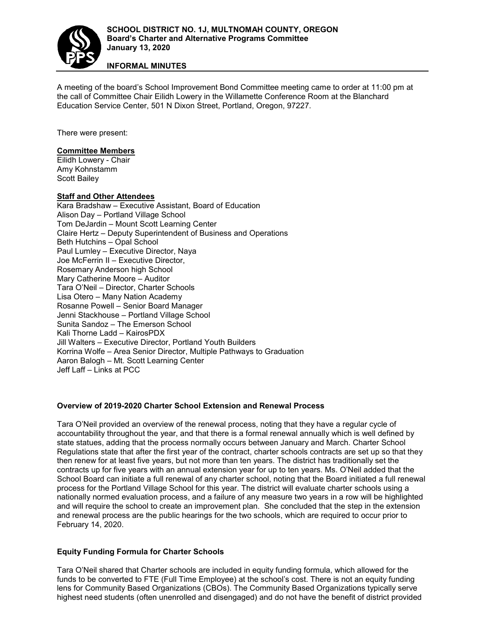

**INFORMAL MINUTES**

A meeting of the board's School Improvement Bond Committee meeting came to order at 11:00 pm at the call of Committee Chair Eilidh Lowery in the Willamette Conference Room at the Blanchard Education Service Center, 501 N Dixon Street, Portland, Oregon, 97227.

There were present:

# **Committee Members**

Eilidh Lowery - Chair Amy Kohnstamm Scott Bailey

## **Staff and Other Attendees**

Kara Bradshaw – Executive Assistant, Board of Education Alison Day – Portland Village School Tom DeJardin – Mount Scott Learning Center Claire Hertz – Deputy Superintendent of Business and Operations Beth Hutchins – Opal School Paul Lumley – Executive Director, Naya Joe McFerrin II – Executive Director, Rosemary Anderson high School Mary Catherine Moore – Auditor Tara O'Neil – Director, Charter Schools Lisa Otero – Many Nation Academy Rosanne Powell – Senior Board Manager Jenni Stackhouse – Portland Village School Sunita Sandoz – The Emerson School Kali Thorne Ladd – KairosPDX Jill Walters – Executive Director, Portland Youth Builders Korrina Wolfe – Area Senior Director, Multiple Pathways to Graduation Aaron Balogh – Mt. Scott Learning Center Jeff Laff – Links at PCC

### **Overview of 2019-2020 Charter School Extension and Renewal Process**

Tara O'Neil provided an overview of the renewal process, noting that they have a regular cycle of accountability throughout the year, and that there is a formal renewal annually which is well defined by state statues, adding that the process normally occurs between January and March. Charter School Regulations state that after the first year of the contract, charter schools contracts are set up so that they then renew for at least five years, but not more than ten years. The district has traditionally set the contracts up for five years with an annual extension year for up to ten years. Ms. O'Neil added that the School Board can initiate a full renewal of any charter school, noting that the Board initiated a full renewal process for the Portland Village School for this year. The district will evaluate charter schools using a nationally normed evaluation process, and a failure of any measure two years in a row will be highlighted and will require the school to create an improvement plan. She concluded that the step in the extension and renewal process are the public hearings for the two schools, which are required to occur prior to February 14, 2020.

### **Equity Funding Formula for Charter Schools**

Tara O'Neil shared that Charter schools are included in equity funding formula, which allowed for the funds to be converted to FTE (Full Time Employee) at the school's cost. There is not an equity funding lens for Community Based Organizations (CBOs). The Community Based Organizations typically serve highest need students (often unenrolled and disengaged) and do not have the benefit of district provided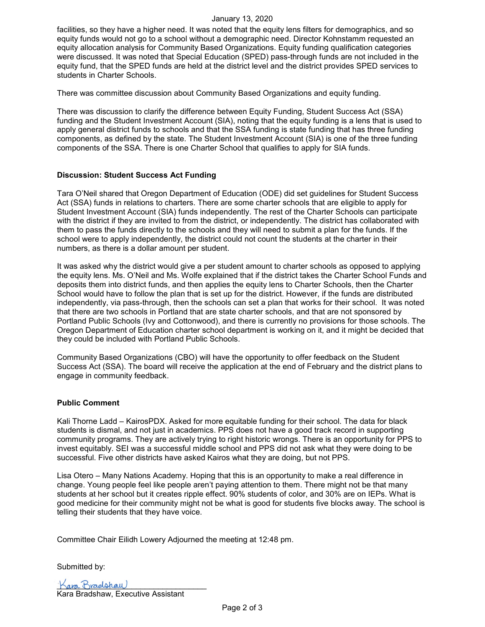#### January 13, 2020

facilities, so they have a higher need. It was noted that the equity lens filters for demographics, and so equity funds would not go to a school without a demographic need. Director Kohnstamm requested an equity allocation analysis for Community Based Organizations. Equity funding qualification categories were discussed. It was noted that Special Education (SPED) pass-through funds are not included in the equity fund, that the SPED funds are held at the district level and the district provides SPED services to students in Charter Schools.

There was committee discussion about Community Based Organizations and equity funding.

There was discussion to clarify the difference between Equity Funding, Student Success Act (SSA) funding and the Student Investment Account (SIA), noting that the equity funding is a lens that is used to apply general district funds to schools and that the SSA funding is state funding that has three funding components, as defined by the state. The Student Investment Account (SIA) is one of the three funding components of the SSA. There is one Charter School that qualifies to apply for SIA funds.

### **Discussion: Student Success Act Funding**

Tara O'Neil shared that Oregon Department of Education (ODE) did set guidelines for Student Success Act (SSA) funds in relations to charters. There are some charter schools that are eligible to apply for Student Investment Account (SIA) funds independently. The rest of the Charter Schools can participate with the district if they are invited to from the district, or independently. The district has collaborated with them to pass the funds directly to the schools and they will need to submit a plan for the funds. If the school were to apply independently, the district could not count the students at the charter in their numbers, as there is a dollar amount per student.

It was asked why the district would give a per student amount to charter schools as opposed to applying the equity lens. Ms. O'Neil and Ms. Wolfe explained that if the district takes the Charter School Funds and deposits them into district funds, and then applies the equity lens to Charter Schools, then the Charter School would have to follow the plan that is set up for the district. However, if the funds are distributed independently, via pass-through, then the schools can set a plan that works for their school. It was noted that there are two schools in Portland that are state charter schools, and that are not sponsored by Portland Public Schools (Ivy and Cottonwood), and there is currently no provisions for those schools. The Oregon Department of Education charter school department is working on it, and it might be decided that they could be included with Portland Public Schools.

Community Based Organizations (CBO) will have the opportunity to offer feedback on the Student Success Act (SSA). The board will receive the application at the end of February and the district plans to engage in community feedback.

### **Public Comment**

Kali Thorne Ladd – KairosPDX. Asked for more equitable funding for their school. The data for black students is dismal, and not just in academics. PPS does not have a good track record in supporting community programs. They are actively trying to right historic wrongs. There is an opportunity for PPS to invest equitably. SEI was a successful middle school and PPS did not ask what they were doing to be successful. Five other districts have asked Kairos what they are doing, but not PPS.

Lisa Otero – Many Nations Academy. Hoping that this is an opportunity to make a real difference in change. Young people feel like people aren't paying attention to them. There might not be that many students at her school but it creates ripple effect. 90% students of color, and 30% are on IEPs. What is good medicine for their community might not be what is good for students five blocks away. The school is telling their students that they have voice.

Committee Chair Eilidh Lowery Adjourned the meeting at 12:48 pm.

Submitted by:

Kara Braelshaw

Kara Bradshaw, Executive Assistant